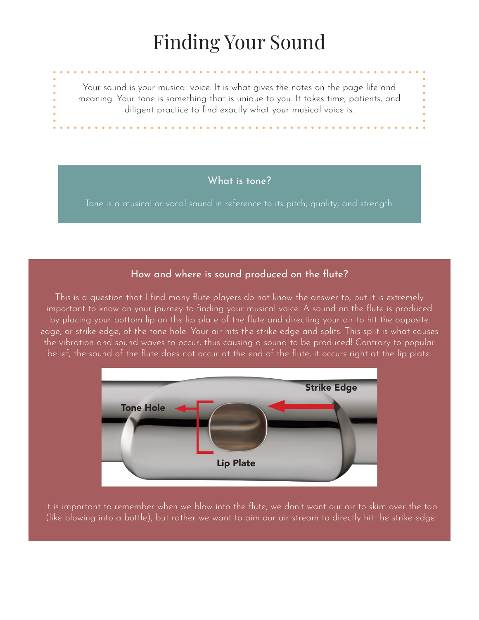# Finding Your Sound

Your sound is your musical voice. It is what gives the notes on the page life and meaning. Your tone is something that is unique to you. It takes time, patients, and diligent practice to find exactly what your musical voice is.

### What is tone?

Tone is a musical or vocal sound in reference to its pitch, quality, and strength.

### How and where is sound produced on the flute?

This is a question that I find many flute players do not know the answer to, but it is extremely important to know on your journey to finding your musical voice. A sound on the flute is produced by placing your bottom lip on the lip plate of the flute and directing your air to hit the opposite edge, or strike edge, of the tone hole. Your air hits the strike edge and splits. This split is what causes the vibration and sound waves to occur, thus causing a sound to be produced! Contrary to popular belief, the sound of the flute does not occur at the end of the flute, it occurs right at the lip plate.



It is important to remember when we blow into the flute, we don't want our air to skim over the top (like blowing into a bottle), but rather we want to aim our air stream to directly hit the strike edge.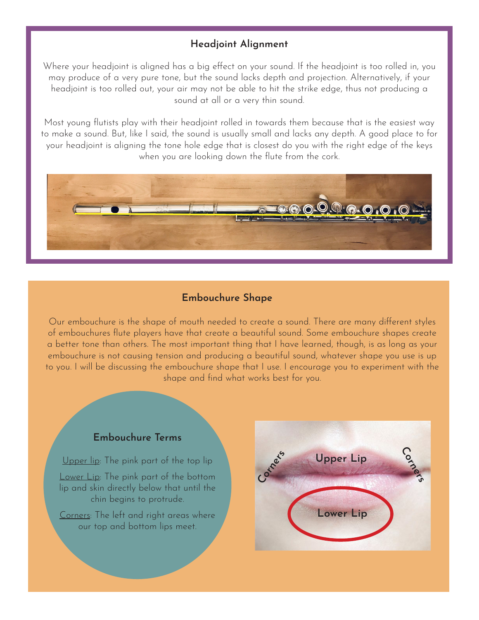# **Headjoint Alignment**

Where your headjoint is aligned has a big effect on your sound. If the headjoint is too rolled in, you may produce of a very pure tone, but the sound lacks depth and projection. Alternatively, if your headjoint is too rolled out, your air may not be able to hit the strike edge, thus not producing a sound at all or a very thin sound.

Most young flutists play with their headjoint rolled in towards them because that is the easiest way to make a sound. But, like I said, the sound is usually small and lacks any depth. A good place to for your headjoint is aligning the tone hole edge that is closest do you with the right edge of the keys when you are looking down the flute from the cork.



# **Embouchure Shape**

Our embouchure is the shape of mouth needed to create a sound. There are many different styles of embouchures flute players have that create a beautiful sound. Some embouchure shapes create a better tone than others. The most important thing that I have learned, though, is as long as your embouchure is not causing tension and producing a beautiful sound, whatever shape you use is up to you. I will be discussing the embouchure shape that I use. I encourage you to experiment with the shape and find what works best for you.

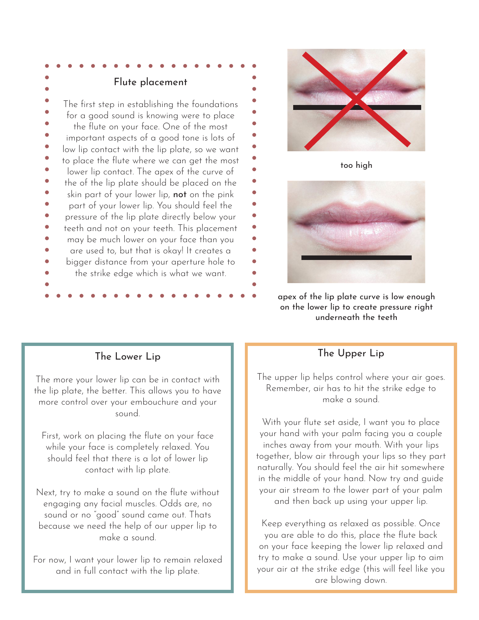The first step in establishing the foundations for a good sound is knowing were to place the flute on your face. One of the most O important aspects of a good tone is lots of low lip contact with the lip plate, so we want  $\bullet$ to place the flute where we can get the most  $\bullet$ lower lip contact. The apex of the curve of  $\bullet$ the of the lip plate should be placed on the skin part of your lower lip, not on the pink  $\bullet$  $\bullet$ part of your lower lip. You should feel the pressure of the lip plate directly below your  $\bigcirc$ teeth and not on your teeth. This placement Ŏ may be much lower on your face than you  $\bullet$ are used to, but that is okay! It creates a bigger distance from your aperture hole to the strike edge which is what we want.

Flute placement



too high



۸

 $\bullet$ 

apex of the lip plate curve is low enough on the lower lip to create pressure right underneath the teeth

# The Lower Lip

The more your lower lip can be in contact with the lip plate, the better. This allows you to have more control over your embouchure and your sound.

First, work on placing the flute on your face while your face is completely relaxed. You should feel that there is a lot of lower lip contact with lip plate.

Next, try to make a sound on the flute without engaging any facial muscles. Odds are, no sound or no "good" sound came out. Thats because we need the help of our upper lip to make a sound.

For now, I want your lower lip to remain relaxed and in full contact with the lip plate.

# The Upper Lip

The upper lip helps control where your air goes. Remember, air has to hit the strike edge to make a sound.

With your flute set aside, I want you to place your hand with your palm facing you a couple inches away from your mouth. With your lips together, blow air through your lips so they part naturally. You should feel the air hit somewhere in the middle of your hand. Now try and guide your air stream to the lower part of your palm and then back up using your upper lip.

Keep everything as relaxed as possible. Once you are able to do this, place the flute back on your face keeping the lower lip relaxed and try to make a sound. Use your upper lip to aim your air at the strike edge (this will feel like you are blowing down.